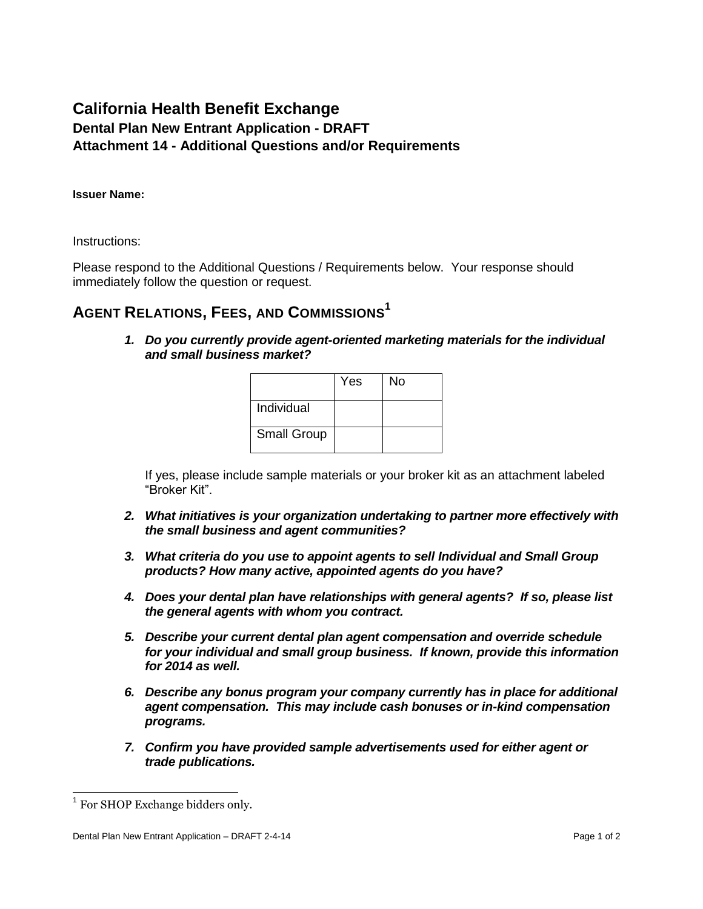## **California Health Benefit Exchange Dental Plan New Entrant Application - DRAFT Attachment 14 - Additional Questions and/or Requirements**

#### **Issuer Name:**

Instructions:

Please respond to the Additional Questions / Requirements below. Your response should immediately follow the question or request.

# **AGENT RELATIONS, FEES, AND COMMISSIONS<sup>1</sup>**

*1. Do you currently provide agent-oriented marketing materials for the individual and small business market?*

|                    | Yes | No |
|--------------------|-----|----|
| Individual         |     |    |
| <b>Small Group</b> |     |    |

If yes, please include sample materials or your broker kit as an attachment labeled "Broker Kit".

- *2. What initiatives is your organization undertaking to partner more effectively with the small business and agent communities?*
- *3. What criteria do you use to appoint agents to sell Individual and Small Group products? How many active, appointed agents do you have?*
- *4. Does your dental plan have relationships with general agents? If so, please list the general agents with whom you contract.*
- *5. Describe your current dental plan agent compensation and override schedule for your individual and small group business. If known, provide this information for 2014 as well.*
- *6. Describe any bonus program your company currently has in place for additional agent compensation. This may include cash bonuses or in-kind compensation programs.*
- *7. Confirm you have provided sample advertisements used for either agent or trade publications.*

 1 For SHOP Exchange bidders only.